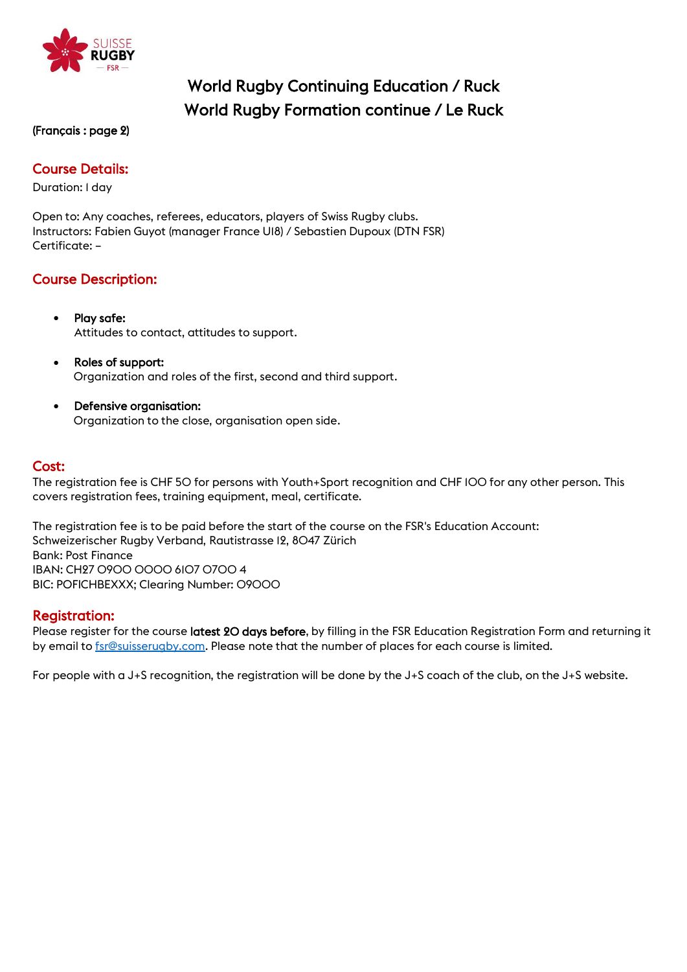

# World Rugby Continuing Education / Ruck World Rugby Formation continue / Le Ruck

#### (Français : page 2)

## Course Details:

Duration: 1 day

Open to: Any coaches, referees, educators, players of Swiss Rugby clubs. Instructors: Fabien Guyot (manager France U18) / Sebastien Dupoux (DTN FSR) Certificate: –

## Course Description:

- Play safe: Attitudes to contact, attitudes to support.
- Roles of support: Organization and roles of the first, second and third support.
- Defensive organisation: Organization to the close, organisation open side.

#### Cost:

The registration fee is CHF 50 for persons with Youth+Sport recognition and CHF 100 for any other person. This covers registration fees, training equipment, meal, certificate.

The registration fee is to be paid before the start of the course on the FSR's Education Account: Schweizerischer Rugby Verband, Rautistrasse 12, 8047 Zürich Bank: Post Finance IBAN: CH27 0900 0000 6107 0700 4 BIC: POFICHBEXXX; Clearing Number: 09000

#### Registration:

Please register for the course latest 20 days before, by filling in the FSR Education Registration Form and returning it by email t[o fsr@suisserugby.com.](mailto:fsr@suisserugby.com) Please note that the number of places for each course is limited.

For people with a J+S recognition, the registration will be done by the J+S coach of the club, on the J+S website.